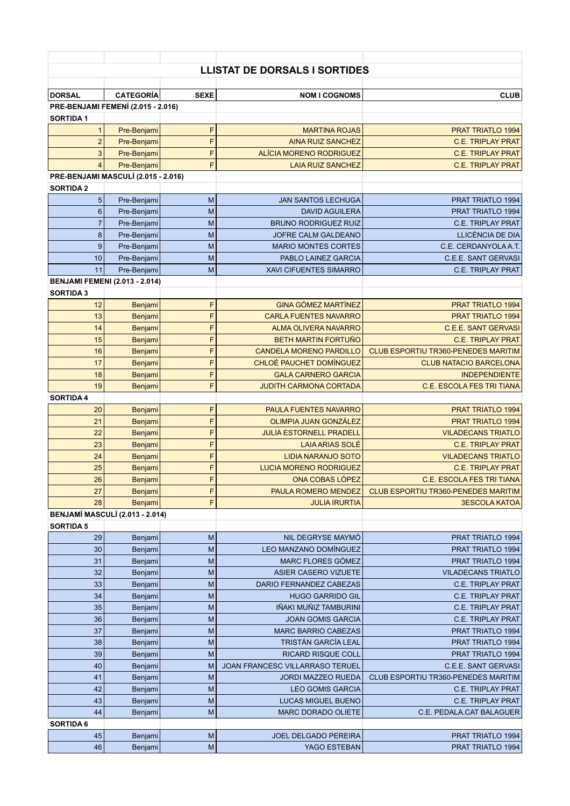## **LLISTAT DE DORSALS I SORTIDES**

| <b>DORSAL</b>                       | <b>CATEGORÍA</b>                      | <b>SEXE</b> | <b>NOM I COGNOMS</b>            | <b>CLUB</b>                                |  |  |  |
|-------------------------------------|---------------------------------------|-------------|---------------------------------|--------------------------------------------|--|--|--|
| PRE-BENJAMI FEMENÍ (2.015 - 2.016)  |                                       |             |                                 |                                            |  |  |  |
| <b>SORTIDA1</b>                     |                                       |             |                                 |                                            |  |  |  |
| $\mathbf{1}$                        | Pre-Benjami                           | F           | <b>MARTINA ROJAS</b>            | <b>PRAT TRIATLO 1994</b>                   |  |  |  |
| $\overline{2}$                      | Pre-Benjami                           | F           | <b>AINA RUIZ SANCHEZ</b>        | <b>C.E. TRIPLAY PRAT</b>                   |  |  |  |
| $\ensuremath{\mathsf{3}}$           | Pre-Benjami                           | F           | ALÍCIA MORENO RODRIGUEZ         | <b>C.E. TRIPLAY PRAT</b>                   |  |  |  |
| $\overline{4}$                      | Pre-Benjami                           | F           | <b>LAIA RUIZ SANCHEZ</b>        | <b>C.E. TRIPLAY PRAT</b>                   |  |  |  |
| PRE-BENJAMI MASCULÍ (2.015 - 2.016) |                                       |             |                                 |                                            |  |  |  |
| <b>SORTIDA 2</b>                    |                                       |             |                                 |                                            |  |  |  |
| 5                                   | Pre-Benjami                           | M           | <b>JAN SANTOS LECHUGA</b>       | <b>PRAT TRIATLO 1994</b>                   |  |  |  |
| $\boldsymbol{6}$                    | Pre-Benjami                           | M           | <b>DAVID AGUILERA</b>           | PRAT TRIATLO 1994                          |  |  |  |
| $\overline{7}$                      |                                       |             |                                 |                                            |  |  |  |
|                                     | Pre-Benjami                           | M           | <b>BRUNO RODRIGUEZ RUIZ</b>     | <b>C.E. TRIPLAY PRAT</b>                   |  |  |  |
| 8                                   | Pre-Benjami                           | M           | JOFRE CALM GALDEANO             | LLICÈNCIA DE DIA                           |  |  |  |
| $\boldsymbol{9}$                    | Pre-Benjami                           | M           | <b>MARIO MONTES CORTES</b>      | C.E. CERDANYOLA A.T.                       |  |  |  |
| 10                                  | Pre-Benjami                           | M           | PABLO LAINEZ GARCIA             | <b>C.E.E. SANT GERVASI</b>                 |  |  |  |
| 11                                  | Pre-Benjami                           | M           | <b>XAVI CIFUENTES SIMARRO</b>   | <b>C.E. TRIPLAY PRAT</b>                   |  |  |  |
|                                     | <b>BENJAMI FEMENI (2.013 - 2.014)</b> |             |                                 |                                            |  |  |  |
| <b>SORTIDA 3</b>                    |                                       |             |                                 |                                            |  |  |  |
| 12                                  | Benjami                               | F           | <b>GINA GÓMEZ MARTÍNEZ</b>      | <b>PRAT TRIATLO 1994</b>                   |  |  |  |
| 13                                  | Benjami                               | F           | <b>CARLA FUENTES NAVARRO</b>    | <b>PRAT TRIATLO 1994</b>                   |  |  |  |
| 14                                  | Benjami                               | F           | <b>ALMA OLIVERA NAVARRO</b>     | <b>C.E.E. SANT GERVASI</b>                 |  |  |  |
| 15                                  | <b>Benjami</b>                        | F           | <b>BETH MARTIN FORTUÑO</b>      | <b>C.E. TRIPLAY PRAT</b>                   |  |  |  |
| 16                                  | Benjami                               | F           | <b>CANDELA MORENO PARDILLO</b>  | <b>CLUB ESPORTIU TR360-PENEDES MARITIM</b> |  |  |  |
| 17                                  | Benjami                               | F           | CHLOÉ PAUCHET DOMÍNGUEZ         | <b>CLUB NATACIO BARCELONA</b>              |  |  |  |
| 18                                  | Benjami                               | F           | <b>GALA CARNERO GARCIA</b>      | <b>INDEPENDIENTE</b>                       |  |  |  |
| 19                                  |                                       | F           | <b>JUDITH CARMONA CORTADA</b>   | C.E. ESCOLA FES TRI TIANA                  |  |  |  |
|                                     | Benjami                               |             |                                 |                                            |  |  |  |
| <b>SORTIDA 4</b>                    |                                       |             |                                 |                                            |  |  |  |
| 20                                  | Benjami                               | F           | <b>PAULA FUENTES NAVARRO</b>    | PRAT TRIATLO 1994                          |  |  |  |
| 21                                  | Benjami                               | F           | OLIMPIA JUAN GONZÁLEZ           | <b>PRAT TRIATLO 1994</b>                   |  |  |  |
| 22                                  | Benjami                               | F           | <b>JULIA ESTORNELL PRADELL</b>  | <b>VILADECANS TRIATLO</b>                  |  |  |  |
| 23                                  | Benjami                               | F           | <b>LAIA ARIAS SOLÉ</b>          | <b>C.E. TRIPLAY PRAT</b>                   |  |  |  |
| 24                                  | Benjami                               | F           | <b>LIDIA NARANJO SOTO</b>       | <b>VILADECANS TRIATLO</b>                  |  |  |  |
| 25                                  | Benjami                               | F           | <b>LUCIA MORENO RODRIGUEZ</b>   | <b>C.E. TRIPLAY PRAT</b>                   |  |  |  |
| 26                                  | Benjami                               | F           | ONA COBAS LÓPEZ                 | <b>C.E. ESCOLA FES TRI TIANA</b>           |  |  |  |
| 27                                  | Benjami                               | F           | <b>PAULA ROMERO MENDEZ</b>      | CLUB ESPORTIU TR360-PENEDES MARITIM        |  |  |  |
| 28                                  | <b>Benjami</b>                        | F           | <b>JULIA IRURTIA</b>            | <b>3ESCOLA KATOA</b>                       |  |  |  |
|                                     | BENJAMÍ MASCULÍ (2.013 - 2.014)       |             |                                 |                                            |  |  |  |
| <b>SORTIDA 5</b>                    |                                       |             |                                 |                                            |  |  |  |
| 29                                  | Benjami                               | M           | NIL DEGRYSE MAYMÓ               | PRAT TRIATLO 1994                          |  |  |  |
| 30                                  | Benjami                               | M           | <b>LEO MANZANO DOMÍNGUEZ</b>    | PRAT TRIATLO 1994                          |  |  |  |
| 31                                  | Benjami                               | M           | MARC FLORES GÓMEZ               | PRAT TRIATLO 1994                          |  |  |  |
| 32                                  | Benjami                               | M           | <b>ASIER CASERO VIZUETE</b>     | <b>VILADECANS TRIATLO</b>                  |  |  |  |
| 33                                  |                                       | M           |                                 | <b>C.E. TRIPLAY PRAT</b>                   |  |  |  |
|                                     | Benjami                               |             | DARIO FERNANDEZ CABEZAS         |                                            |  |  |  |
| 34                                  | Benjami                               | M           | <b>HUGO GARRIDO GIL</b>         | C.E. TRIPLAY PRAT                          |  |  |  |
| 35                                  | Benjami                               | M           | IÑAKI MUÑIZ TAMBURINI           | <b>C.E. TRIPLAY PRAT</b>                   |  |  |  |
| 36                                  | Benjami                               | M           | <b>JOAN GOMIS GARCIA</b>        | <b>C.E. TRIPLAY PRAT</b>                   |  |  |  |
| 37                                  | Benjami                               | M           | <b>MARC BARRIO CABEZAS</b>      | PRAT TRIATLO 1994                          |  |  |  |
| 38                                  | Benjami                               | M           | TRISTÁN GARCÍA LEAL             | PRAT TRIATLO 1994                          |  |  |  |
| 39                                  | Benjami                               | M           | <b>RICARD RISQUE COLL</b>       | PRAT TRIATLO 1994                          |  |  |  |
| 40                                  | Benjami                               | M           | JOAN FRANCESC VILLARRASO TERUEL | C.E.E. SANT GERVASI                        |  |  |  |
| 41                                  | Benjami                               | M           | <b>JORDI MAZZEO RUEDA</b>       | CLUB ESPORTIU TR360-PENEDES MARITIM        |  |  |  |
| 42                                  | Benjami                               | M           | <b>LEO GOMIS GARCIA</b>         | <b>C.E. TRIPLAY PRAT</b>                   |  |  |  |
| 43                                  | Benjami                               | M           | LUCAS MIGUEL BUENO              | <b>C.E. TRIPLAY PRAT</b>                   |  |  |  |
| 44                                  | Benjami                               | M           | <b>MARC DORADO OLIETE</b>       | C.E. PEDALA.CAT BALAGUER                   |  |  |  |
| <b>SORTIDA 6</b>                    |                                       |             |                                 |                                            |  |  |  |
| 45                                  | Benjami                               | M           | <b>JOEL DELGADO PEREIRA</b>     | PRAT TRIATLO 1994                          |  |  |  |
| 46                                  | Benjami                               | M           | YAGO ESTEBAN                    | PRAT TRIATLO 1994                          |  |  |  |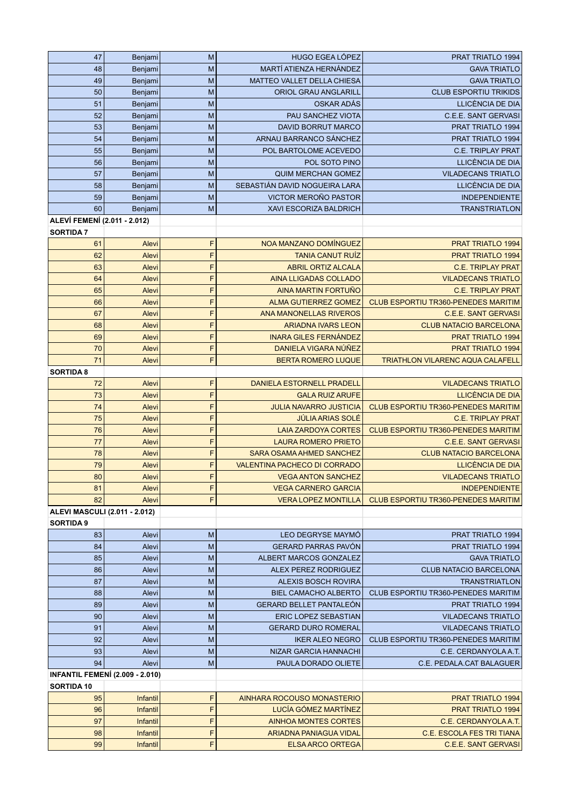| 47                                   | Benjami                                | M      | <b>HUGO EGEA LÓPEZ</b>                                   | PRAT TRIATLO 1994                                           |
|--------------------------------------|----------------------------------------|--------|----------------------------------------------------------|-------------------------------------------------------------|
| 48                                   | Benjami                                | M      | MARTÍ ATIENZA HERNÁNDEZ                                  | <b>GAVA TRIATLO</b>                                         |
| 49                                   | Benjami                                | M      | <b>MATTEO VALLET DELLA CHIESA</b>                        | <b>GAVA TRIATLO</b>                                         |
| 50                                   | Benjami                                | M      | <b>ORIOL GRAU ANGLARILL</b>                              | <b>CLUB ESPORTIU TRIKIDS</b>                                |
| 51                                   | Benjami                                | M      | OSKAR ADÁS                                               | LLICÈNCIA DE DIA                                            |
| 52                                   | Benjami                                | M      | PAU SANCHEZ VIOTA                                        | C.E.E. SANT GERVASI                                         |
| 53                                   | Benjami                                | M      | <b>DAVID BORRUT MARCO</b>                                | PRAT TRIATLO 1994                                           |
| 54                                   | Benjami                                | M      | ARNAU BARRANCO SÁNCHEZ                                   | PRAT TRIATLO 1994                                           |
| 55                                   | Benjami                                | M      | POL BARTOLOME ACEVEDO<br>POL SOTO PINO                   | <b>C.E. TRIPLAY PRAT</b><br>LLICÈNCIA DE DIA                |
| 56<br>57                             | Benjami<br>Benjami                     | M<br>M | <b>QUIM MERCHAN GOMEZ</b>                                | <b>VILADECANS TRIATLO</b>                                   |
| 58                                   | Benjami                                | M      | SEBASTIÁN DAVID NOGUEIRA LARA                            | LLICÈNCIA DE DIA                                            |
| 59                                   | Benjami                                | M      | VICTOR MEROÑO PASTOR                                     | <b>INDEPENDIENTE</b>                                        |
| 60                                   | Benjami                                | M      | XAVI ESCORIZA BALDRICH                                   | <b>TRANSTRIATLON</b>                                        |
| ALEVÍ FEMENÍ (2.011 - 2.012)         |                                        |        |                                                          |                                                             |
| <b>SORTIDA 7</b>                     |                                        |        |                                                          |                                                             |
| 61                                   | Alevi                                  | F      | NOA MANZANO DOMÍNGUEZ                                    | <b>PRAT TRIATLO 1994</b>                                    |
| 62                                   | Alevi                                  | F      | <b>TANIA CANUT RUÍZ</b>                                  | <b>PRAT TRIATLO 1994</b>                                    |
| 63                                   | Alevi                                  | F      | <b>ABRIL ORTIZ ALCALA</b>                                | <b>C.E. TRIPLAY PRAT</b>                                    |
| 64                                   | Alevi                                  | F      | <b>AINA LLIGADAS COLLADO</b>                             | <b>VILADECANS TRIATLO</b>                                   |
| 65                                   | Alevi                                  | F      | <b>AINA MARTIN FORTUÑO</b>                               | <b>C.E. TRIPLAY PRAT</b>                                    |
| 66                                   | Alevi                                  | F      | <b>ALMA GUTIERREZ GOMEZ</b>                              | CLUB ESPORTIU TR360-PENEDES MARITIM                         |
| 67                                   | Alevi                                  | F      | ANA MANONELLAS RIVEROS                                   | <b>C.E.E. SANT GERVASI</b>                                  |
| 68                                   | Alevi                                  | F      | <b>ARIADNA IVARS LEON</b>                                | <b>CLUB NATACIO BARCELONA</b>                               |
| 69                                   | Alevi                                  | F      | <b>INARA GILES FERNÁNDEZ</b>                             | PRAT TRIATLO 1994                                           |
| 70                                   | Alevi                                  | F      | DANIELA VIGARA NÚÑEZ                                     | <b>PRAT TRIATLO 1994</b>                                    |
| 71                                   | Alevi                                  | F      | <b>BERTA ROMERO LUQUE</b>                                | <b>TRIATHLON VILARENC AQUA CALAFELI</b>                     |
| <b>SORTIDA 8</b>                     |                                        |        |                                                          |                                                             |
| 72                                   | Alevi                                  | F      | <b>DANIELA ESTORNELL PRADELL</b>                         | <b>VILADECANS TRIATLO</b>                                   |
| 73                                   | Alevi                                  | F      | <b>GALA RUIZ ARUFE</b>                                   | <b>LLICÈNCIA DE DIA</b>                                     |
| 74                                   | Alevi                                  | F      | <b>JULIA NAVARRO JUSTICIA</b>                            | CLUB ESPORTIU TR360-PENEDES MARITIM                         |
| 75                                   | Alevi                                  | F      | <b>JÚLIA ARIAS SOLÉ</b>                                  | <b>C.E. TRIPLAY PRAT</b>                                    |
| 76                                   | Alevi                                  | F      | <b>LAIA ZARDOYA CORTES</b>                               | CLUB ESPORTIU TR360-PENEDES MARITIM                         |
| 77                                   | Alevi                                  | F      | <b>LAURA ROMERO PRIETO</b>                               | <b>C.E.E. SANT GERVASI</b>                                  |
| 78                                   | Alevi                                  | F      | <b>SARA OSAMA AHMED SANCHEZ</b>                          | <b>CLUB NATACIO BARCELONA</b>                               |
| 79                                   | Alevi                                  | F      | <b>VALENTINA PACHECO DI CORRADO</b>                      | LLICÈNCIA DE DIA                                            |
| 80                                   | Alevi                                  | F      | <b>VEGA ANTON SANCHEZ</b>                                | <b>VILADECANS TRIATLO</b>                                   |
| 81<br>82                             | Alevi<br>Alevi                         | F<br>F | <b>VEGA CARNERO GARCIA</b><br><b>VERA LOPEZ MONTILLA</b> | <b>INDEPENDIENTE</b><br>CLUB ESPORTIU TR360-PENEDES MARITIM |
| <b>ALEVI MASCULI (2.011 - 2.012)</b> |                                        |        |                                                          |                                                             |
| <b>SORTIDA 9</b>                     |                                        |        |                                                          |                                                             |
| 83                                   | Alevi                                  | M      | LEO DEGRYSE MAYMÓ                                        | PRAT TRIATLO 1994                                           |
| 84                                   | Alevi                                  | M      | <b>GERARD PARRAS PAVON</b>                               | PRAT TRIATLO 1994                                           |
| 85                                   | Alevi                                  | M      | ALBERT MARCOS GONZALEZ                                   | <b>GAVA TRIATLO</b>                                         |
| 86                                   | Alevi                                  | M      | ALEX PEREZ RODRIGUEZ                                     | <b>CLUB NATACIO BARCELONA</b>                               |
| 87                                   | Alevi                                  | M      | ALEXIS BOSCH ROVIRA                                      | <b>TRANSTRIATLON</b>                                        |
| 88                                   | Alevi                                  | M      | <b>BIEL CAMACHO ALBERTO</b>                              | CLUB ESPORTIU TR360-PENEDES MARITIM                         |
| 89                                   | Alevi                                  | M      | <b>GERARD BELLET PANTALEÓN</b>                           | <b>PRAT TRIATLO 1994</b>                                    |
| 90                                   | Alevi                                  | M      | ERIC LOPEZ SEBASTIAN                                     | <b>VILADECANS TRIATLO</b>                                   |
| 91                                   | Alevi                                  | M      | <b>GERARD DURO ROMERAL</b>                               | <b>VILADECANS TRIATLO</b>                                   |
| 92                                   | Alevi                                  | M      | <b>IKER ALEO NEGRO</b>                                   | CLUB ESPORTIU TR360-PENEDES MARITIM                         |
| 93                                   | Alevi                                  | M      | NIZAR GARCIA HANNACHI                                    | C.E. CERDANYOLA A.T.                                        |
| 94                                   | Alevi                                  | M      | PAULA DORADO OLIETE                                      | C.E. PEDALA.CAT BALAGUER                                    |
|                                      | <b>INFANTIL FEMENÍ (2.009 - 2.010)</b> |        |                                                          |                                                             |
| SORTIDA 10                           |                                        |        |                                                          |                                                             |
| 95                                   | Infantil                               | F      | AINHARA ROCOUSO MONASTERIO                               | <b>PRAT TRIATLO 1994</b>                                    |
| 96                                   | Infantil                               | F      | LUCÍA GÓMEZ MARTÍNEZ                                     | <b>PRAT TRIATLO 1994</b>                                    |
| 97                                   | Infantil                               | F      | <b>AINHOA MONTES CORTES</b>                              | C.E. CERDANYOLA A.T.                                        |
| 98                                   | Infantil                               | F      | <b>ARIADNA PANIAGUA VIDAL</b>                            | C.E. ESCOLA FES TRI TIANA                                   |
| 99                                   | Infantil                               | F      | <b>ELSA ARCO ORTEGA</b>                                  | C.E.E. SANT GERVASI                                         |